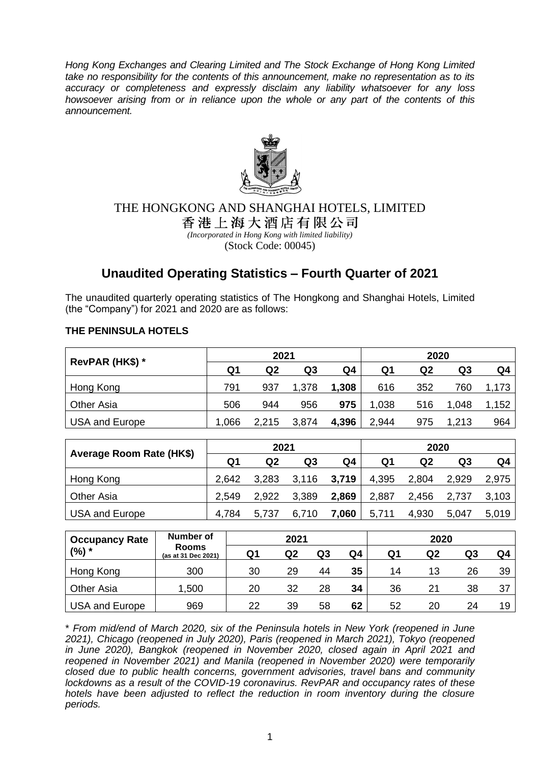*Hong Kong Exchanges and Clearing Limited and The Stock Exchange of Hong Kong Limited take no responsibility for the contents of this announcement, make no representation as to its accuracy or completeness and expressly disclaim any liability whatsoever for any loss howsoever arising from or in reliance upon the whole or any part of the contents of this announcement.*



# THE HONGKONG AND SHANGHAI HOTELS, LIMITED

香港上海大酒店有限公司 *(Incorporated in Hong Kong with limited liability)*

(Stock Code: 00045)

# **Unaudited Operating Statistics – Fourth Quarter of 2021**

The unaudited quarterly operating statistics of The Hongkong and Shanghai Hotels, Limited (the "Company") for 2021 and 2020 are as follows:

## **THE PENINSULA HOTELS**

| RevPAR (HK\$) *       |      | 2021  |       |       | 2020  |                |       |       |
|-----------------------|------|-------|-------|-------|-------|----------------|-------|-------|
|                       | Q1   | Q2    | Q3    | Q4    | Q1    | Q <sub>2</sub> | Q3    | Q4    |
| Hong Kong             | 791  | 937   | 1,378 | 1,308 | 616   | 352            | 760   | 1,173 |
| <b>Other Asia</b>     | 506  | 944   | 956   | 975   | 1,038 | 516            | 1,048 | 1,152 |
| <b>USA and Europe</b> | .066 | 2,215 | 3,874 | 4,396 | 2,944 | 975            | 1,213 | 964   |

| Average Room Rate (HK\$) |       | 2021  |             |       | 2020  |       |       |       |  |
|--------------------------|-------|-------|-------------|-------|-------|-------|-------|-------|--|
|                          | Q1    | Q2    | Q3          | Q4    | Q1    | Q2    | Q3    | Q4    |  |
| Hong Kong                | 2,642 | 3,283 | 3,116 3,719 |       | 4,395 | 2,804 | 2.929 | 2.975 |  |
| <b>Other Asia</b>        | 2,549 | 2,922 | 3,389       | 2,869 | 2,887 | 2,456 | 2,737 | 3,103 |  |
| <b>USA and Europe</b>    | 4,784 | 5,737 | 6,710       | 7,060 | 5,711 | 4,930 | 5,047 | 5.019 |  |

| Number of<br><b>Occupancy Rate</b> |                                     | 2021 |    |    |    | 2020 |    |    |    |
|------------------------------------|-------------------------------------|------|----|----|----|------|----|----|----|
| (%) *                              | <b>Rooms</b><br>(as at 31 Dec 2021) | Q1   | Q2 | Q3 | Q4 | Q1   | Q2 | Q3 | Q4 |
| Hong Kong                          | 300                                 | 30   | 29 | 44 | 35 | 14   | 13 | 26 | 39 |
| Other Asia                         | 1,500                               | 20   | 32 | 28 | 34 | 36   | 21 | 38 | 37 |
| USA and Europe                     | 969                                 | 22   | 39 | 58 | 62 | 52   | 20 | 24 | 19 |

\* *From mid/end of March 2020, six of the Peninsula hotels in New York (reopened in June 2021), Chicago (reopened in July 2020), Paris (reopened in March 2021), Tokyo (reopened in June 2020), Bangkok (reopened in November 2020, closed again in April 2021 and reopened in November 2021) and Manila (reopened in November 2020) were temporarily closed due to public health concerns, government advisories, travel bans and community lockdowns as a result of the COVID-19 coronavirus. RevPAR and occupancy rates of these hotels have been adjusted to reflect the reduction in room inventory during the closure periods.*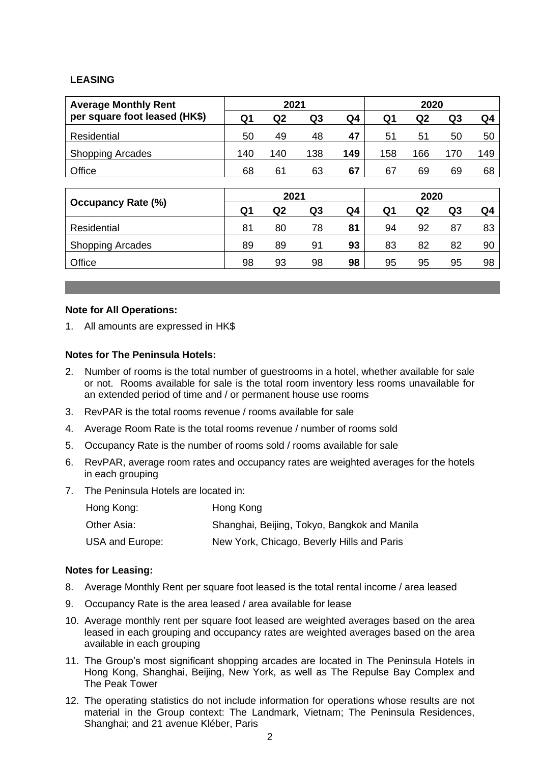### **LEASING**

| <b>Average Monthly Rent</b>   | 2021           |                |                |     | 2020 |                |                |                |
|-------------------------------|----------------|----------------|----------------|-----|------|----------------|----------------|----------------|
| per square foot leased (HK\$) | Q1             | Q2             | Q <sub>3</sub> | Q4  | Q1   | Q <sub>2</sub> | Q <sub>3</sub> | Q <sub>4</sub> |
| Residential                   | 50             | 49             | 48             | 47  | 51   | 51             | 50             | 50             |
| <b>Shopping Arcades</b>       | 140            | 140            | 138            | 149 | 158  | 166            | 170            | 149            |
| Office                        | 68             | 61             | 63             | 67  | 67   | 69             | 69             | 68             |
|                               |                |                |                |     |      |                |                |                |
| <b>Occupancy Rate (%)</b>     | 2021           |                |                |     | 2020 |                |                |                |
|                               | Q <sub>1</sub> | Q <sub>2</sub> | Q <sub>3</sub> | Q4  | Q1   | Q <sub>2</sub> | Q <sub>3</sub> | Q4             |
| Residential                   | 81             | 80             | 78             | 81  | 94   | 92             | 87             | 83             |
| <b>Shopping Arcades</b>       | 89             | 89             | 91             | 93  | 83   | 82             | 82             | 90             |
| Office                        | 98             | 93             | 98             | 98  | 95   | 95             | 95             | 98             |

#### **Note for All Operations:**

1. All amounts are expressed in HK\$

#### **Notes for The Peninsula Hotels:**

- 2. Number of rooms is the total number of guestrooms in a hotel, whether available for sale or not. Rooms available for sale is the total room inventory less rooms unavailable for an extended period of time and / or permanent house use rooms
- 3. RevPAR is the total rooms revenue / rooms available for sale
- 4. Average Room Rate is the total rooms revenue / number of rooms sold
- 5. Occupancy Rate is the number of rooms sold / rooms available for sale
- 6. RevPAR, average room rates and occupancy rates are weighted averages for the hotels in each grouping
- 7. The Peninsula Hotels are located in:

| Hong Kong:      | Hong Kong                                    |
|-----------------|----------------------------------------------|
| Other Asia:     | Shanghai, Beijing, Tokyo, Bangkok and Manila |
| USA and Europe: | New York, Chicago, Beverly Hills and Paris   |

#### **Notes for Leasing:**

- 8. Average Monthly Rent per square foot leased is the total rental income / area leased
- 9. Occupancy Rate is the area leased / area available for lease
- 10. Average monthly rent per square foot leased are weighted averages based on the area leased in each grouping and occupancy rates are weighted averages based on the area available in each grouping
- 11. The Group's most significant shopping arcades are located in The Peninsula Hotels in Hong Kong, Shanghai, Beijing, New York, as well as The Repulse Bay Complex and The Peak Tower
- 12. The operating statistics do not include information for operations whose results are not material in the Group context: The Landmark, Vietnam; The Peninsula Residences, Shanghai; and 21 avenue Kléber, Paris